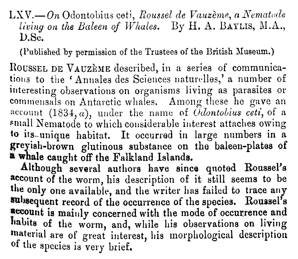LXV.— On Odontobius ceti, Roussel de Vauzème, a Nematode living on the Baleen of Whales. By H. A. BAYLIS, M.A., D. Sc.

(Published by permission of the Trustees of the British Museum.)

ROUSSEL DE VAUZÈME described, in a series of communications to the 'Annales des Sciences naturelles,' a number of interesting observations on organisms living as parasites or commensals on Antarctic whales. Among these he gave an account  $(1834, a)$ , under the name of *Odontobius cett*, of a small Nematode to which considerable interest attaches owing to its-unique habitat. It occurred in large numbers in a greyish brown glutinous substance on the baleen-plates of a whale caught off the Falkland Islands.

Although several authors have since quoted Roussel's account of the worm, his description of it still seems to be the only one available, and the writer has failed to trace any subsequent record of the occurrence of the species. Roussel's account is mainly concerned with the mode of occurrence and habits of the worm, and, while his observations on living material are of great interest, his morphological description of the species is very brief.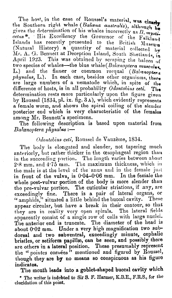The host, in the case of Roussel's material, was clearly the Southern right whale (Balaena australis), although the gives the determination of his whales incorrectly as  $B$ , mysticetus\*. His Excellency the Governor of the Falkland Islands has recently presented to the British Museum (Natural History) a quantity of material collected by Mr. A. G. Bennett at Deception Island, South Shetlands, in April 1923. This was obtained by scraping the baleen of two species of whales-the blue whale (Balaenoptera musculus L.) and the finner or common rorqual (Balcenoptera physalus, L.). In each case, besides other organisms, there are large numbers of a nematode which, in spite of the difference of hosts, is in all probability Odontobius ceti. The determination rests more particularly upon the figure given by Roussel (1834, pl. ix. fig. 3A), which evidently represents a female worm, and shows the spiral coiling of the slender posterior end which is very characteristic of the females among Mr. Bennett's specimens.

The following description is based upon material from  $Balenoptera$  physalus: $-$ 

## Odontobius ceti, Roussel de Vauzème, 1834.

The body is elongated and slender, not tapering much anteriorly, but rather thicker in the œsophageal region than in the succeeding portion. The length varies between about 2.8 mm.' and 4.75 mm. The maximum thickness, which in the male is at the level of the anus and in the female just in front of the vulva, is 0.04-0.06 mm. In the female the whole post-vulvar portion of the body is more slender than the pre-vulvar portion. The cuticular striations, if any, are exceedingly fine. There is a pair of lateral organs, or "amphids," situated a little behind the buccal cavity. These appear circular, but have a break in their contour, so that they are in reality very open spirals. The lateral fields apparently consist of a single row of cells with large nuclei. The anterior end is truncate. The diameter of the head is about 0.02 mm. Under a very high magnification two subdorsal and two subventral, exceedingly minute, cephalic bristles, or setiform papillæ, can be seen, and possibly there are others in a lateral position. These presumably represent the " pointes cornées" mentioned and figured by Roussel, though they are by no means so conspicuous as his figure indicates.

The mouth leads into a goblet-shaped buccal cavity which \* The writer is indebted to Sir S. F. Harmer, K.B.E., F.R.S., for the elucidation of this point.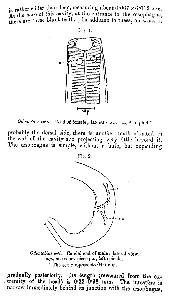is rather wider than deep, measuring about  $0.007 \times 0.012$  mm. At the base of this cavity, at the entrance to the osophagus, At the base of this cavity, at the emitance to the desophagus,<br>there are three blunt teeth. In addition to these, on what is



Odontobius ceti. Head of female; lateral view,  $a_{ij}$  " amphid."

probably the dorsal side, there is another tooth situated in the wall of the cavity and projecting very little beyond it. The œsophagus is simple, without a bulb, but expanding



Odontobius ceti. Caudal end of male; lateral view, a.p., accessory piece; s., left spicule. The scale represents 0.05 mm.

gradually posterioriy. Its length (measured from the extremity of the head) is  $0.22 - 0.38$  mm. The intestine is narrow immediately behind its junction with the oesophagus,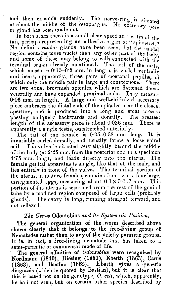and then expands suddenly. The nerve-ring is situated at about the middle of the cesophagus. No excretory pore or gland has been made out.

In both sexes there is a small clear space at the tip of the tail, perhaps representing an adhesive organ or "spinneret." No definite caudal glands have been seen, but the caudal region contains more nuclei than any other part of the body, and some of these may belong to cells connected with the terminal organ already mentioned. The tail of the male, which measures  $0.15-0.2$  mm. in length, is curled ventrally and bears, apparently, three pairs of postanal papillae,  $\dot{\rm o}$ which only the middle pair is large and conspicuous. There are two equal brownish spicules, which are flattened dorsoventrally and have expanded proximal ends. They measure 0.06 mm. in length. A large and well-chitinized accessory piece embraces the distal ends of the spicules near the cloacal aperture, and is produced into a long and stout process passing obliquely backwards and dorsally. The greatest passing obliquely backwards and dorsally. length of the accessory piece is about 0.036 mm. There is apparently a single testis, outstretched anteriorly.

The tail of the female is 0.25-0.38 mm. long. It is invariably curled dorsally, and usually forms a loose spiral coil. The vulva is situated very slightly behind the middle of the body (at  $2.25$  mm. from the posterior end in a specimen 4.75 mm. long), and leads directly into the uterus. The female genital apparatus is single, like that of the male, and lies entirely in front of the vulva. The terminal portion of the uterus, in mature females, contains from two to four large, unsegmented eggs, measuring about  $0.1 \times 0.047$  mm. This portion of the uterus is separated from the rest of the genital tube by a modified region composed of large cells (probably glands). The ovary is long, running straight forward, and not reflexed.

## The Genus Odontobius and its Systematic Position.

The general organization of the worm described above shows clearly that it belongs to the free-living group of Nematodes rather than to any of the strictly parasitic group It is, in fact, a free-living nematode that has taken to a semi-parasitic or commensal mode of life.

The general affinities of Odontobius were recognized by Nordmann (1840), Diesing (1851), Eberth (1863), Carus (1863), and Bastian (1865). Eberth gives a generic diagnosis (which is quoted by Bastian), but it is clear that this is based not on the genotype,  $O.$  ceti, which, apparently, he had not seen, but on certain other species described by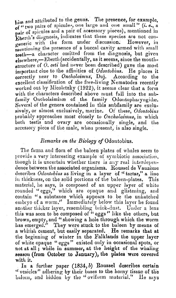him and attributed to the genus. The presence, for example, of "two pairs of spicules, one large and one small" (i. e., a pair of spicules and a pair of accessory pieces), mentioned in Eberth's diagnosis, indicates that these species are not congeneric with the form under discussion. However, in mentioning the presence of a buccal cavity armed with small teeth-a character omitted from the diagnosis, but given elsewhere,-Eberth (accidentally, as it seems, since the mouthstructure of  $O$ , cett had never been described) gave the most important clue to the affinities of *Odontobius*. He places it correctly near to Oncholaimus, Duj. According to the excellent classification of the free-living Nematodes recently worked out by Micoletzky (1922), it seems clear that a form with the characters described above must fall into the subfamily Oncholaiminae of the family Odontopharyngidae. Several of the genera contained in this subfamily are exclusively, or almost exclusively, marine. Of these, Odontobius probably approaches most closely to Oncholaimus, in which both testis and ovary are occasionally single, and the accessory piece of the male, when present, is also single.

## Remarks on the Biology of Odontobius.

The fauna and flora of the baleen plates of whales seem to provide a very interesting example of symbiotic association, though it is uncertain whether there is any real interdependence between the associated organisms. Roussel de Vauzème describes Odontobius as living in a layer of "tartar," a line in thickness, on the solid portions of the baleen-plates. This material, he says, is composed of an upper layer of white rounded "eggs," which are opaque and glistening, and contain "a substance which appears to be the unhatched embryo of a worm." Immediately below this layer he found another thicker layer, resembling brick-dust. Under a lens this was seen to be composed of " eggs" like the others, but brown, empty, and " showing a hole through which the worm has emerged." They were stuck to the baleen by means of a whitish cement, but easily separated. He remarks that at the beginning of winter in the Falklands the upper layer of white opaque " eggs " existed only in occasional spots, or not at all ; while in summer, at the height of the whaling season (from October to January), the plates were covered with it.

In a further paper  $(1834, b)$  Roussel describes certain " vesicles" adhering by their bases to the horny tissue of the baleen, and hidden by the "oviform material." He says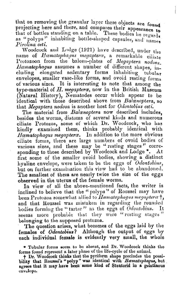that on removing the granular layer these objects are found projecting here and there, and compares their appearance to that of bottles standing on a table. These bodies he regards as "polyps" inhabiting bottle-shaped capsules, and names Pirolina ceti.

Woodcock and Lodge (1921) have described, under the name of Haematophagus megaptera, a remarkable ciliate Protozoon from the baleen-plates of Megaptera nodosa. Haematophagus assumes a number of different shapes,  $in$ cluding elongated sedentary forms inhabiting tubular envelopes, smaller vase-like forms, and ovoid resting forms of various sizes. It is interesting to note that among the type-material of H. megaptera, now in the British Museum (Natural History), Nematodes occur which appear to be identical with those described above from Balaenoptera, so that Megaptera nodosa is another host for Odontobius cett.

The material from Balaenoptera now described includes, besides the worms, diatoms of several kinds and numerous ciliate Protozoa, some of which Dr. Woodcock, who has kindly examined them, thinks probably identical with Hæmatophagus megapteræ. In addition to the more obvious ciliate forms, there are large numbers of ovoid bodies of various sizes, and these may be "resting stages" corresponding to those described by Woodcock and Lodge \*. At first some of the smaller ovoid bodies, showing a distinct hyaline envelope, were taken to be the eggs of  $\partial$  dontobius, but on further examination this view had to be abandoned. The smallest of them are nearly twice the size of the eggs observed in the uterus of the female worms.

In view of all the above-mentioned facts, the writer is inclined to believe that the " polyps" of Roussel may have been Protozoa somewhat allied to Haematophagus megaptera $\dagger$ , and that Roussel was mistaken in regarding the rounded bodies forming the "tartar" as the eggs of Odontobius. It seems more probable that they were "resting stages" belonging to the supposed protozoa.

The question arises, what becomes of the eggs laid by the females of Odontobius? Although the output of eggs by each individual female is evidently very small, the whole

\* Tubular forms seem to be absent, and Dr. Woodcock thinks the forms found represent a later phase of the life-cycle of the animal.

t Dr. Woodcock thinks that the pyriform shape precludes the possibility that Roussel's "polyp" was identical with Haematophagus, but agrees that it may have been some kind of Stentorid in a gelatinous envelope.